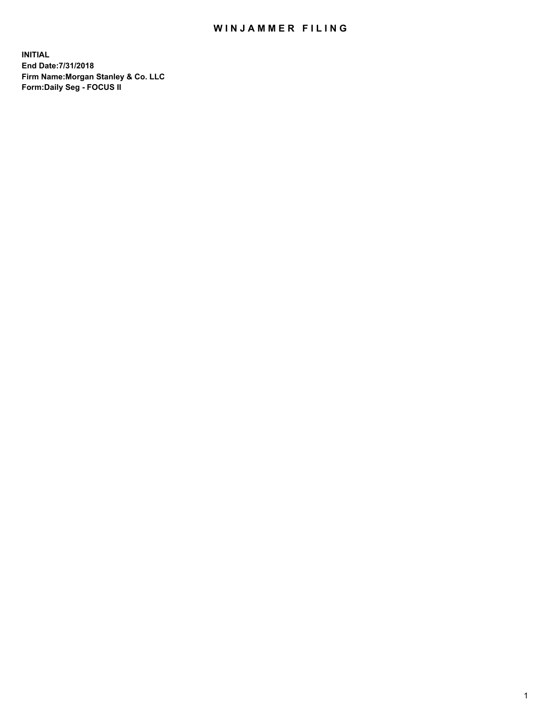## WIN JAMMER FILING

**INITIAL End Date:7/31/2018 Firm Name:Morgan Stanley & Co. LLC Form:Daily Seg - FOCUS II**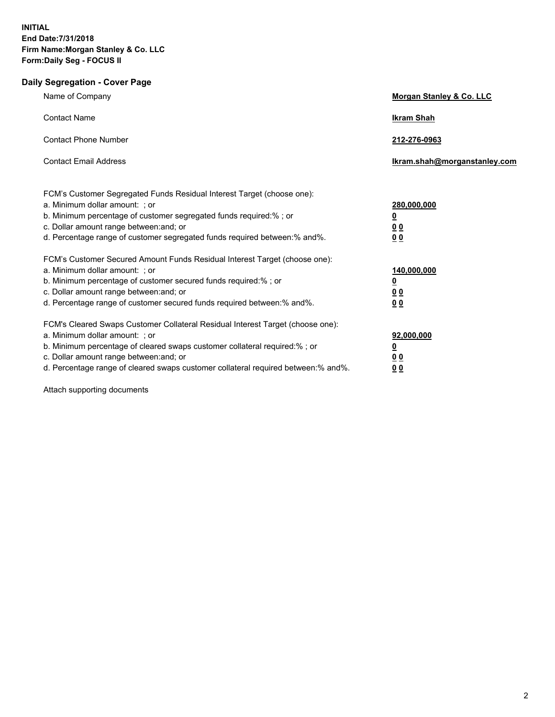## **Daily Segregation - Cover Page**

| Name of Company                                                                                                                                                                                                                                                                                                                | Morgan Stanley & Co. LLC                                                  |
|--------------------------------------------------------------------------------------------------------------------------------------------------------------------------------------------------------------------------------------------------------------------------------------------------------------------------------|---------------------------------------------------------------------------|
| <b>Contact Name</b>                                                                                                                                                                                                                                                                                                            | <b>Ikram Shah</b>                                                         |
| <b>Contact Phone Number</b>                                                                                                                                                                                                                                                                                                    | 212-276-0963                                                              |
| <b>Contact Email Address</b>                                                                                                                                                                                                                                                                                                   | Ikram.shah@morganstanley.com                                              |
| FCM's Customer Segregated Funds Residual Interest Target (choose one):<br>a. Minimum dollar amount: ; or<br>b. Minimum percentage of customer segregated funds required:% ; or<br>c. Dollar amount range between: and; or<br>d. Percentage range of customer segregated funds required between:% and%.                         | 280,000,000<br><u>0</u><br>0 <sub>0</sub><br>0 <sub>0</sub>               |
| FCM's Customer Secured Amount Funds Residual Interest Target (choose one):<br>a. Minimum dollar amount: ; or<br>b. Minimum percentage of customer secured funds required:%; or<br>c. Dollar amount range between: and; or<br>d. Percentage range of customer secured funds required between: % and %.                          | 140,000,000<br><u>0</u><br>0 <sub>0</sub><br>0 <sub>0</sub>               |
| FCM's Cleared Swaps Customer Collateral Residual Interest Target (choose one):<br>a. Minimum dollar amount: ; or<br>b. Minimum percentage of cleared swaps customer collateral required:% ; or<br>c. Dollar amount range between: and; or<br>d. Percentage range of cleared swaps customer collateral required between:% and%. | 92,000,000<br>$\overline{\mathbf{0}}$<br>0 <sub>0</sub><br>0 <sub>0</sub> |

Attach supporting documents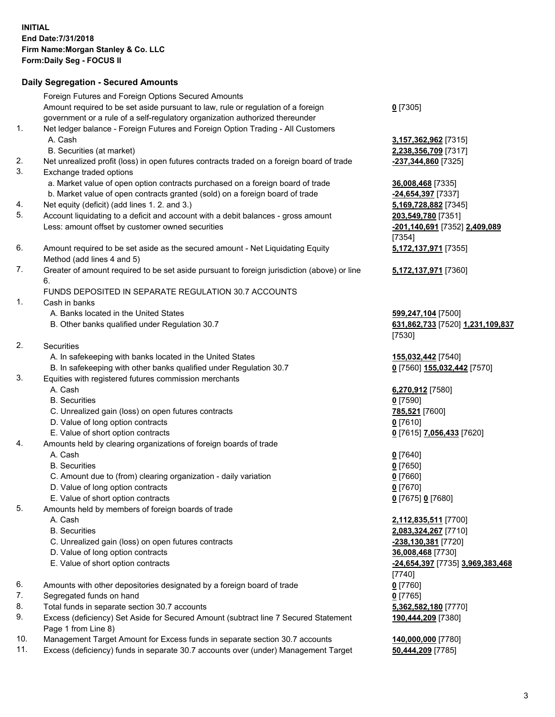## **Daily Segregation - Secured Amounts**

|          | Foreign Futures and Foreign Options Secured Amounts<br>Amount required to be set aside pursuant to law, rule or regulation of a foreign                         | $0$ [7305]                              |
|----------|-----------------------------------------------------------------------------------------------------------------------------------------------------------------|-----------------------------------------|
| 1.       | government or a rule of a self-regulatory organization authorized thereunder<br>Net ledger balance - Foreign Futures and Foreign Option Trading - All Customers |                                         |
|          | A. Cash                                                                                                                                                         | 3,157,362,962 [7315]                    |
|          | B. Securities (at market)                                                                                                                                       | 2,238,356,709 [7317]                    |
| 2.       | Net unrealized profit (loss) in open futures contracts traded on a foreign board of trade                                                                       | -237,344,860 [7325]                     |
| 3.       | Exchange traded options                                                                                                                                         |                                         |
|          | a. Market value of open option contracts purchased on a foreign board of trade                                                                                  | 36,008,468 [7335]                       |
|          | b. Market value of open contracts granted (sold) on a foreign board of trade                                                                                    | -24,654,397 [7337]                      |
| 4.<br>5. | Net equity (deficit) (add lines 1.2. and 3.)                                                                                                                    | 5,169,728,882 [7345]                    |
|          | Account liquidating to a deficit and account with a debit balances - gross amount                                                                               | 203,549,780 [7351]                      |
|          | Less: amount offset by customer owned securities                                                                                                                | -201,140,691 [7352] 2,409,089           |
| 6.       | Amount required to be set aside as the secured amount - Net Liquidating Equity                                                                                  | [7354]<br>5,172,137,971 [7355]          |
|          | Method (add lines 4 and 5)                                                                                                                                      |                                         |
| 7.       | Greater of amount required to be set aside pursuant to foreign jurisdiction (above) or line<br>6.                                                               | 5,172,137,971 [7360]                    |
|          | FUNDS DEPOSITED IN SEPARATE REGULATION 30.7 ACCOUNTS                                                                                                            |                                         |
| 1.       | Cash in banks                                                                                                                                                   |                                         |
|          | A. Banks located in the United States                                                                                                                           | 599,247,104 [7500]                      |
|          | B. Other banks qualified under Regulation 30.7                                                                                                                  | 631,862,733 [7520] 1,231,109,837        |
|          |                                                                                                                                                                 | [7530]                                  |
| 2.       | Securities                                                                                                                                                      |                                         |
|          | A. In safekeeping with banks located in the United States                                                                                                       | 155,032,442 [7540]                      |
|          | B. In safekeeping with other banks qualified under Regulation 30.7                                                                                              | 0 [7560] 155,032,442 [7570]             |
| 3.       | Equities with registered futures commission merchants                                                                                                           |                                         |
|          | A. Cash                                                                                                                                                         | 6,270,912 [7580]                        |
|          | <b>B.</b> Securities                                                                                                                                            | $0$ [7590]                              |
|          | C. Unrealized gain (loss) on open futures contracts<br>D. Value of long option contracts                                                                        | 785,521 [7600]                          |
|          | E. Value of short option contracts                                                                                                                              | $0$ [7610]<br>0 [7615] 7,056,433 [7620] |
| 4.       | Amounts held by clearing organizations of foreign boards of trade                                                                                               |                                         |
|          | A. Cash                                                                                                                                                         | $0$ [7640]                              |
|          | <b>B.</b> Securities                                                                                                                                            | $0$ [7650]                              |
|          | C. Amount due to (from) clearing organization - daily variation                                                                                                 | $0$ [7660]                              |
|          | D. Value of long option contracts                                                                                                                               | $0$ [7670]                              |
|          | E. Value of short option contracts                                                                                                                              | 0 [7675] 0 [7680]                       |
| 5.       | Amounts held by members of foreign boards of trade                                                                                                              |                                         |
|          | A. Cash                                                                                                                                                         | 2,112,835,511 [7700]                    |
|          | <b>B.</b> Securities                                                                                                                                            | 2,083,324,267 [7710]                    |
|          | C. Unrealized gain (loss) on open futures contracts                                                                                                             | <u>-238,130,381</u> [7720]              |
|          | D. Value of long option contracts                                                                                                                               | 36,008,468 [7730]                       |
|          | E. Value of short option contracts                                                                                                                              | -24,654,397 [7735] 3,969,383,468        |
|          |                                                                                                                                                                 | $[7740]$                                |
| 6.       | Amounts with other depositories designated by a foreign board of trade                                                                                          | $0$ [7760]                              |
| 7.       | Segregated funds on hand                                                                                                                                        | $0$ [7765]                              |
| 8.       | Total funds in separate section 30.7 accounts                                                                                                                   | 5,362,582,180 [7770]                    |
| 9.       | Excess (deficiency) Set Aside for Secured Amount (subtract line 7 Secured Statement<br>Page 1 from Line 8)                                                      | 190,444,209 [7380]                      |
| 10.      | Management Target Amount for Excess funds in separate section 30.7 accounts                                                                                     | 140,000,000 [7780]                      |
| 11.      | Excess (deficiency) funds in separate 30.7 accounts over (under) Management Target                                                                              | 50,444,209 [7785]                       |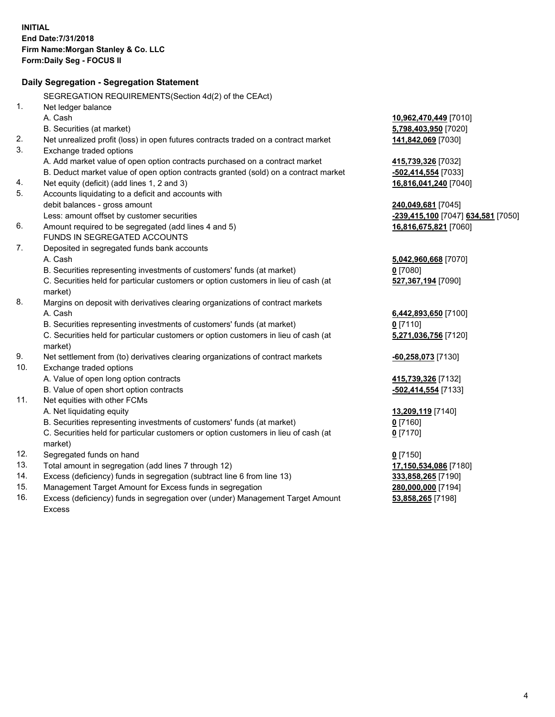|     | Daily Segregation - Segregation Statement                                           |                                    |
|-----|-------------------------------------------------------------------------------------|------------------------------------|
|     | SEGREGATION REQUIREMENTS(Section 4d(2) of the CEAct)                                |                                    |
| 1.  | Net ledger balance                                                                  |                                    |
|     | A. Cash                                                                             | 10,962,470,449 [7010]              |
|     | B. Securities (at market)                                                           | 5,798,403,950 [7020]               |
| 2.  | Net unrealized profit (loss) in open futures contracts traded on a contract market  | 141,842,069 [7030]                 |
| 3.  | Exchange traded options                                                             |                                    |
|     | A. Add market value of open option contracts purchased on a contract market         | 415,739,326 [7032]                 |
|     | B. Deduct market value of open option contracts granted (sold) on a contract market | $-502,414,554$ [7033]              |
| 4.  | Net equity (deficit) (add lines 1, 2 and 3)                                         | 16,816,041,240 [7040]              |
| 5.  | Accounts liquidating to a deficit and accounts with                                 |                                    |
|     | debit balances - gross amount                                                       | 240,049,681 [7045]                 |
|     | Less: amount offset by customer securities                                          | -239,415,100 [7047] 634,581 [7050] |
| 6.  | Amount required to be segregated (add lines 4 and 5)                                | 16,816,675,821 [7060]              |
|     | FUNDS IN SEGREGATED ACCOUNTS                                                        |                                    |
| 7.  | Deposited in segregated funds bank accounts                                         |                                    |
|     | A. Cash                                                                             | 5,042,960,668 [7070]               |
|     | B. Securities representing investments of customers' funds (at market)              | $0$ [7080]                         |
|     | C. Securities held for particular customers or option customers in lieu of cash (at | 527,367,194 [7090]                 |
|     | market)                                                                             |                                    |
| 8.  | Margins on deposit with derivatives clearing organizations of contract markets      |                                    |
|     | A. Cash                                                                             | 6,442,893,650 [7100]               |
|     | B. Securities representing investments of customers' funds (at market)              | $0$ [7110]                         |
|     | C. Securities held for particular customers or option customers in lieu of cash (at | 5,271,036,756 [7120]               |
|     | market)                                                                             |                                    |
| 9.  | Net settlement from (to) derivatives clearing organizations of contract markets     | $-60,258,073$ [7130]               |
| 10. | Exchange traded options                                                             |                                    |
|     | A. Value of open long option contracts                                              | 415,739,326 [7132]                 |
|     | B. Value of open short option contracts                                             | -502,414,554 [7133]                |
| 11. | Net equities with other FCMs                                                        |                                    |
|     | A. Net liquidating equity                                                           | 13,209,119 [7140]                  |
|     | B. Securities representing investments of customers' funds (at market)              | $0$ [7160]                         |
|     | C. Securities held for particular customers or option customers in lieu of cash (at | $0$ [7170]                         |
|     | market)                                                                             |                                    |
| 12. | Segregated funds on hand                                                            | $0$ [7150]                         |
| 13. | Total amount in segregation (add lines 7 through 12)                                | 17,150,534,086 [7180]              |
| 14. | Excess (deficiency) funds in segregation (subtract line 6 from line 13)             | 333,858,265 [7190]                 |
| 15. | Management Target Amount for Excess funds in segregation                            | 280,000,000 [7194]                 |
| 16. | Excess (deficiency) funds in segregation over (under) Management Target Amount      | 53,858,265 [7198]                  |
|     | <b>Excess</b>                                                                       |                                    |